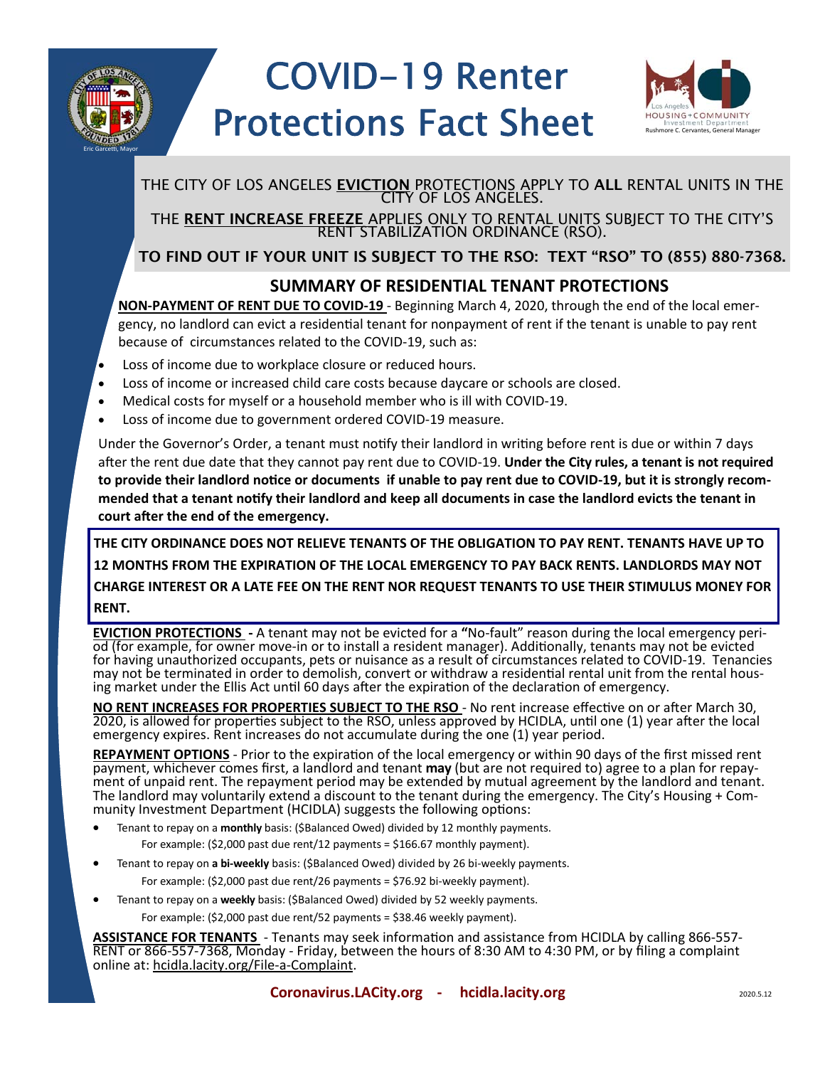

# COVID-19 Renter Protections Fact Sheet Rushmore C. Cervantes, General Man



## THE CITY OF LOS ANGELES <u>EVICTION</u> PROTECTIONS APPLY TO **ALL** RENTAL UNITS IN THE

CITY OF LOS ANGELES.<br>THE <u>RENT INCREASE FREEZE</u> APPLIES ONLY TO RENTAL UNITS SUBJECT TO THE CITY'S<br>RENT STABILIZATION ORDINANCE (RSO).

### TO FIND OUT IF YOUR UNIT IS SUBJECT TO THE RSO: TEXT "RSO" TO (855) 880-7368.

#### **SUMMARY OF RESIDENTIAL TENANT PROTECTIONS**

 **NON‐PAYMENT OF RENT DUE TO COVID‐19** ‐ Beginning March 4, 2020, through the end of the local emer‐ gency, no landlord can evict a residential tenant for nonpayment of rent if the tenant is unable to pay rent because of circumstances related to the COVID‐19, such as:

- Loss of income due to workplace closure or reduced hours.
- Loss of income or increased child care costs because daycare or schools are closed.
- Medical costs for myself or a household member who is ill with COVID‐19.
- Loss of income due to government ordered COVID‐19 measure.

Under the Governor's Order, a tenant must notify their landlord in writing before rent is due or within 7 days after the rent due date that they cannot pay rent due to COVID-19. **Under the City rules, a tenant is not required to provide their landlord noƟce or documents if unable to pay rent due to COVID‐19, but it is strongly recom‐** mended that a tenant notify their landlord and keep all documents in case the landlord evicts the tenant in court after the end of the emergency.

**THE CITY ORDINANCE DOES NOT RELIEVE TENANTS OF THE OBLIGATION TO PAY RENT. TENANTS HAVE UP TO 12 MONTHS FROM THE EXPIRATION OF THE LOCAL EMERGENCY TO PAY BACK RENTS. LANDLORDS MAY NOT CHARGE INTEREST OR A LATE FEE ON THE RENT NOR REQUEST TENANTS TO USE THEIR STIMULUS MONEY FOR RENT.** 

**EVICTION PROTECTIONS** - A tenant may not be evicted for a "No-fault" reason during the local emergency peri-<br>od (for example, for owner move-in or to install a resident manager). Additionally, tenants may not be evicted<br>f ing market under the Ellis Act until 60 days after the expiration of the declaration of emergency. for having unauthorized occupants, pets or nuisance as a result of circumstances related to COVID-19. Tenancies may not be terminated in order to demolish, convert or withdraw a residential rental unit from the rental hous-

ENT INCREASES FOR PROPERTIES SUBJECT TO THE RSO - No rent increase effective on or after March 30,<br>is allowed for properties subject to the RSO, unless approved by HCIDLA, until one (1) year after the local<br>gency expires. **NO RENT INCREASES FOR PROPERTIES SUBJECT TO THE RSO - No rent increase effective on or after March 30,** 2020, is allowed for properties subject to the RSO, unless approved by HCIDLA, until one (1) year after the local emergency expires. Rent increases do not accumulate during the one (1) year period.

**REPAYMENT OPTIONS** - Prior to the expiration of the local emergency or within 90 days of the first missed rent<br>payment, whichever comes first, a landlord and tenant **may** (but are not required to) agree to a plan for repa The landlord may voluntarily extend a discount to the tenant during the emergency. The City's Housing + Com-<br>munity Investment Department (HCIDLA) suggests the following options: REPAYMENT OPTIONS - Prior to the expiration of the local emergency or within 90 days of the first missed rent

- Tenant to repay on a **monthly** basis: (\$Balanced Owed) divided by 12 monthly payments. For example: (\$2,000 past due rent/12 payments = \$166.67 monthly payment).
- Tenant to repay on **a bi‐weekly** basis: (\$Balanced Owed) divided by 26 bi‐weekly payments. For example: (\$2,000 past due rent/26 payments = \$76.92 bi-weekly payment).
- Tenant to repay on a **weekly** basis: (\$Balanced Owed) divided by 52 weekly payments.

For example: (\$2,000 past due rent/52 payments = \$38.46 weekly payment).

**ASSISTANCE FOR TENANTS** - Tenants may seek information and assistance from HCIDLA by calling 866-557-<br>RENT or 866-557-7368, Monday - Friday, between the hours of 8:30 AM to 4:30 PM, or by filing a complaint<br>online at: <u>hc</u> online at: hcidla.lacity.org/File‐a‐Complaint.